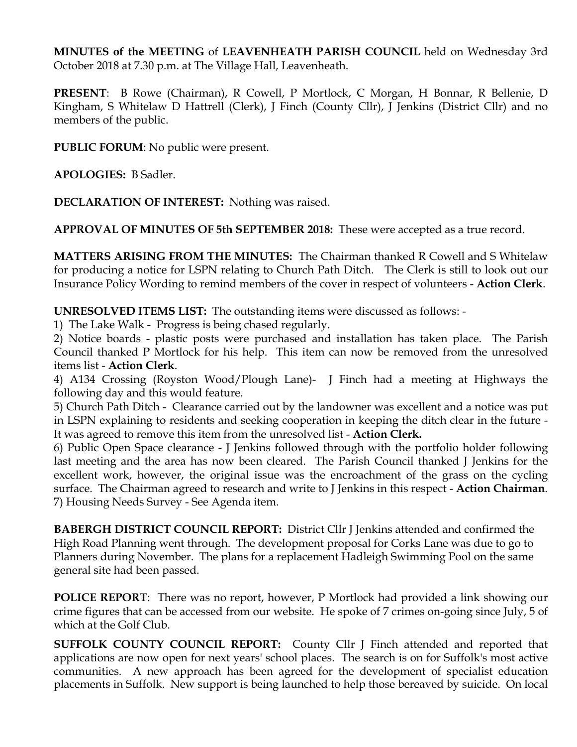**MINUTES of the MEETING** of **LEAVENHEATH PARISH COUNCIL** held on Wednesday 3rd October 2018 at 7.30 p.m. at The Village Hall, Leavenheath.

**PRESENT**: B Rowe (Chairman), R Cowell, P Mortlock, C Morgan, H Bonnar, R Bellenie, D Kingham, S Whitelaw D Hattrell (Clerk), J Finch (County Cllr), J Jenkins (District Cllr) and no members of the public.

**PUBLIC FORUM**: No public were present.

**APOLOGIES:** B Sadler.

**DECLARATION OF INTEREST:** Nothing was raised.

**APPROVAL OF MINUTES OF 5th SEPTEMBER 2018:** These were accepted as a true record.

**MATTERS ARISING FROM THE MINUTES:** The Chairman thanked R Cowell and S Whitelaw for producing a notice for LSPN relating to Church Path Ditch. The Clerk is still to look out our Insurance Policy Wording to remind members of the cover in respect of volunteers - **Action Clerk**.

**UNRESOLVED ITEMS LIST:** The outstanding items were discussed as follows: -

1) The Lake Walk - Progress is being chased regularly.

2) Notice boards - plastic posts were purchased and installation has taken place. The Parish Council thanked P Mortlock for his help. This item can now be removed from the unresolved items list - **Action Clerk**.

4) A134 Crossing (Royston Wood/Plough Lane)- J Finch had a meeting at Highways the following day and this would feature.

5) Church Path Ditch - Clearance carried out by the landowner was excellent and a notice was put in LSPN explaining to residents and seeking cooperation in keeping the ditch clear in the future - It was agreed to remove this item from the unresolved list - **Action Clerk.** 

6) Public Open Space clearance - J Jenkins followed through with the portfolio holder following last meeting and the area has now been cleared. The Parish Council thanked J Jenkins for the excellent work, however, the original issue was the encroachment of the grass on the cycling surface. The Chairman agreed to research and write to J Jenkins in this respect - **Action Chairman**. 7) Housing Needs Survey - See Agenda item.

**BABERGH DISTRICT COUNCIL REPORT:** District Cllr J Jenkins attended and confirmed the High Road Planning went through. The development proposal for Corks Lane was due to go to Planners during November. The plans for a replacement Hadleigh Swimming Pool on the same general site had been passed.

**POLICE REPORT:** There was no report, however, P Mortlock had provided a link showing our crime figures that can be accessed from our website. He spoke of 7 crimes on-going since July, 5 of which at the Golf Club.

**SUFFOLK COUNTY COUNCIL REPORT:** County Cllr J Finch attended and reported that applications are now open for next years' school places. The search is on for Suffolk's most active communities. A new approach has been agreed for the development of specialist education placements in Suffolk. New support is being launched to help those bereaved by suicide. On local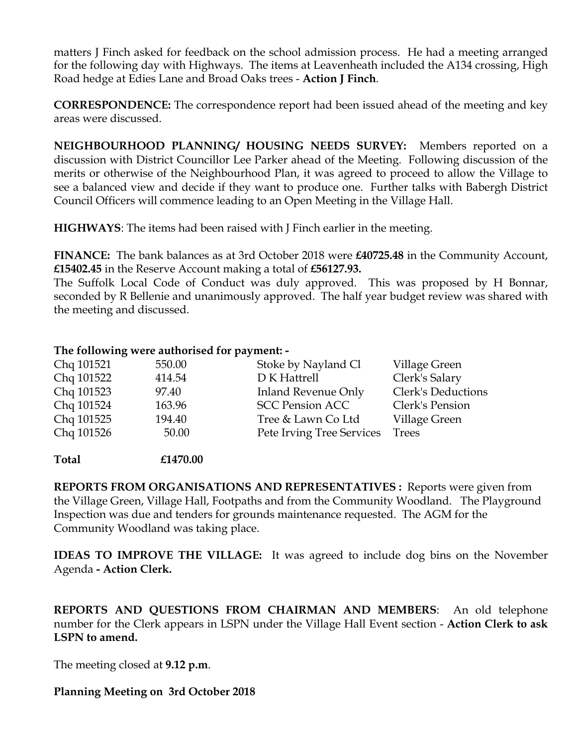matters J Finch asked for feedback on the school admission process. He had a meeting arranged for the following day with Highways. The items at Leavenheath included the A134 crossing, High Road hedge at Edies Lane and Broad Oaks trees - **Action J Finch**.

**CORRESPONDENCE:** The correspondence report had been issued ahead of the meeting and key areas were discussed.

**NEIGHBOURHOOD PLANNING/ HOUSING NEEDS SURVEY:** Members reported on a discussion with District Councillor Lee Parker ahead of the Meeting. Following discussion of the merits or otherwise of the Neighbourhood Plan, it was agreed to proceed to allow the Village to see a balanced view and decide if they want to produce one. Further talks with Babergh District Council Officers will commence leading to an Open Meeting in the Village Hall.

**HIGHWAYS**: The items had been raised with J Finch earlier in the meeting.

**FINANCE:** The bank balances as at 3rd October 2018 were **£40725.48** in the Community Account, **£15402.45** in the Reserve Account making a total of **£56127.93.**

The Suffolk Local Code of Conduct was duly approved. This was proposed by H Bonnar, seconded by R Bellenie and unanimously approved. The half year budget review was shared with the meeting and discussed.

## **The following were authorised for payment: -**

| Chq 101521 | 550.00 | Stoke by Nayland Cl        | Village Green             |
|------------|--------|----------------------------|---------------------------|
| Chq 101522 | 414.54 | D K Hattrell               | Clerk's Salary            |
| Chq 101523 | 97.40  | <b>Inland Revenue Only</b> | <b>Clerk's Deductions</b> |
| Chq 101524 | 163.96 | <b>SCC Pension ACC</b>     | Clerk's Pension           |
| Chq 101525 | 194.40 | Tree & Lawn Co Ltd         | Village Green             |
| Chq 101526 | 50.00  | Pete Irving Tree Services  | <b>Trees</b>              |
|            |        |                            |                           |

**Total £1470.00**

**REPORTS FROM ORGANISATIONS AND REPRESENTATIVES :** Reports were given from the Village Green, Village Hall, Footpaths and from the Community Woodland. The Playground Inspection was due and tenders for grounds maintenance requested. The AGM for the Community Woodland was taking place.

**IDEAS TO IMPROVE THE VILLAGE:** It was agreed to include dog bins on the November Agenda **- Action Clerk.** 

**REPORTS AND QUESTIONS FROM CHAIRMAN AND MEMBERS**: An old telephone number for the Clerk appears in LSPN under the Village Hall Event section - **Action Clerk to ask LSPN to amend.** 

The meeting closed at **9.12 p.m**.

## **Planning Meeting on 3rd October 2018**